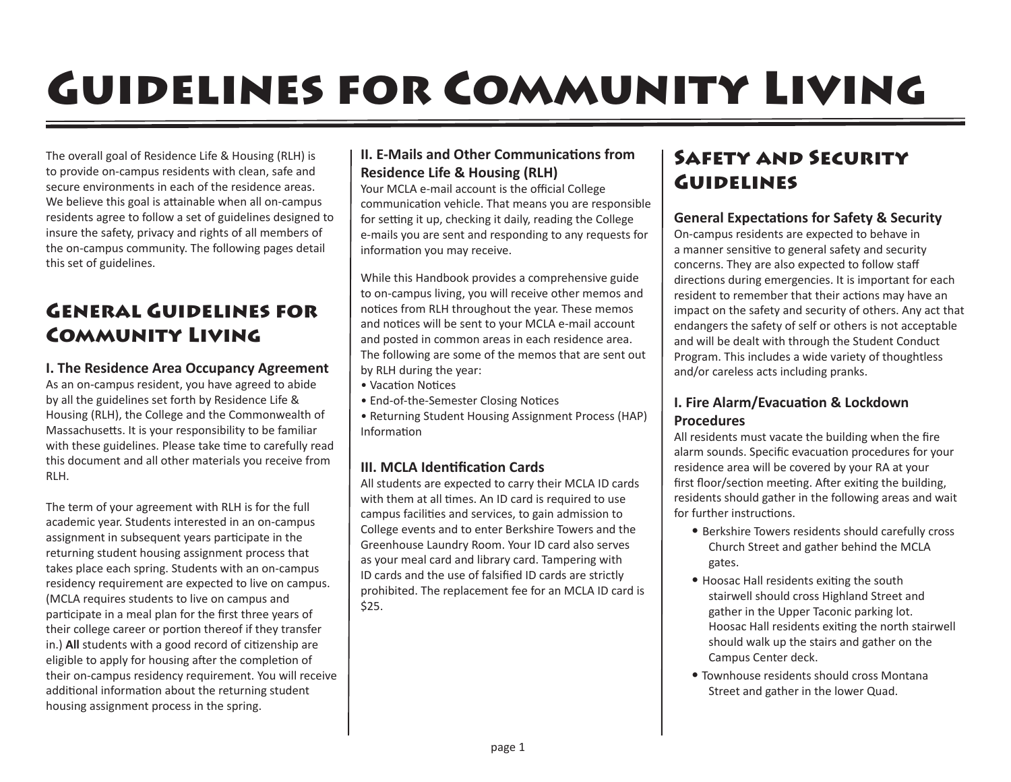# Guidelines for Community Living

The overall goal of Residence Life & Housing (RLH) is to provide on-campus residents with clean, safe and secure environments in each of the residence areas. We believe this goal is attainable when all on-campus residents agree to follow a set of guidelines designed to insure the safety, privacy and rights of all members of the on-campus community. The following pages detail this set of guidelines.

# General Guidelines for Community Living

# **I. The Residence Area Occupancy Agreement**

As an on-campus resident, you have agreed to abide by all the guidelines set forth by Residence Life & Housing (RLH), the College and the Commonwealth of Massachusetts. It is your responsibility to be familiar with these guidelines. Please take time to carefully read this document and all other materials you receive from RLH.

The term of your agreement with RLH is for the full academic year. Students interested in an on-campus assignment in subsequent years participate in the returning student housing assignment process that takes place each spring. Students with an on-campus residency requirement are expected to live on campus. (MCLA requires students to live on campus and participate in a meal plan for the first three years of their college career or portion thereof if they transfer in.) **All** students with a good record of citizenship are eligible to apply for housing after the completion of their on-campus residency requirement. You will receive additional information about the returning student housing assignment process in the spring.

# **II. E-Mails and Other Communications from Residence Life & Housing (RLH)**

Your MCLA e-mail account is the official College communication vehicle. That means you are responsible for setting it up, checking it daily, reading the College e-mails you are sent and responding to any requests for information you may receive.

While this Handbook provides a comprehensive guide to on-campus living, you will receive other memos and notices from RLH throughout the year. These memos and notices will be sent to your MCLA e-mail account and posted in common areas in each residence area. The following are some of the memos that are sent out by RLH during the year:

- Vacation Notices
- End-of-the-Semester Closing Notices
- Returning Student Housing Assignment Process (HAP) Information

# **III. MCLA Identification Cards**

All students are expected to carry their MCLA ID cards with them at all times. An ID card is required to use campus facilities and services, to gain admission to College events and to enter Berkshire Towers and the Greenhouse Laundry Room. Your ID card also serves as your meal card and library card. Tampering with ID cards and the use of falsified ID cards are strictly prohibited. The replacement fee for an MCLA ID card is \$25.

# Safety and Security **GUIDELINES**

# **General Expectations for Safety & Security**

On-campus residents are expected to behave in a manner sensitive to general safety and security concerns. They are also expected to follow staff directions during emergencies. It is important for each resident to remember that their actions may have an impact on the safety and security of others. Any act that endangers the safety of self or others is not acceptable and will be dealt with through the Student Conduct Program. This includes a wide variety of thoughtless and/or careless acts including pranks.

# **I. Fire Alarm/Evacuation & Lockdown Procedures**

All residents must vacate the building when the fire alarm sounds. Specific evacuation procedures for your residence area will be covered by your RA at your first floor/section meeting. After exiting the building, residents should gather in the following areas and wait for further instructions.

- Berkshire Towers residents should carefully cross Church Street and gather behind the MCLA gates.
- Hoosac Hall residents exiting the south stairwell should cross Highland Street and gather in the Upper Taconic parking lot. Hoosac Hall residents exiting the north stairwell should walk up the stairs and gather on the Campus Center deck.
- Townhouse residents should cross Montana Street and gather in the lower Quad.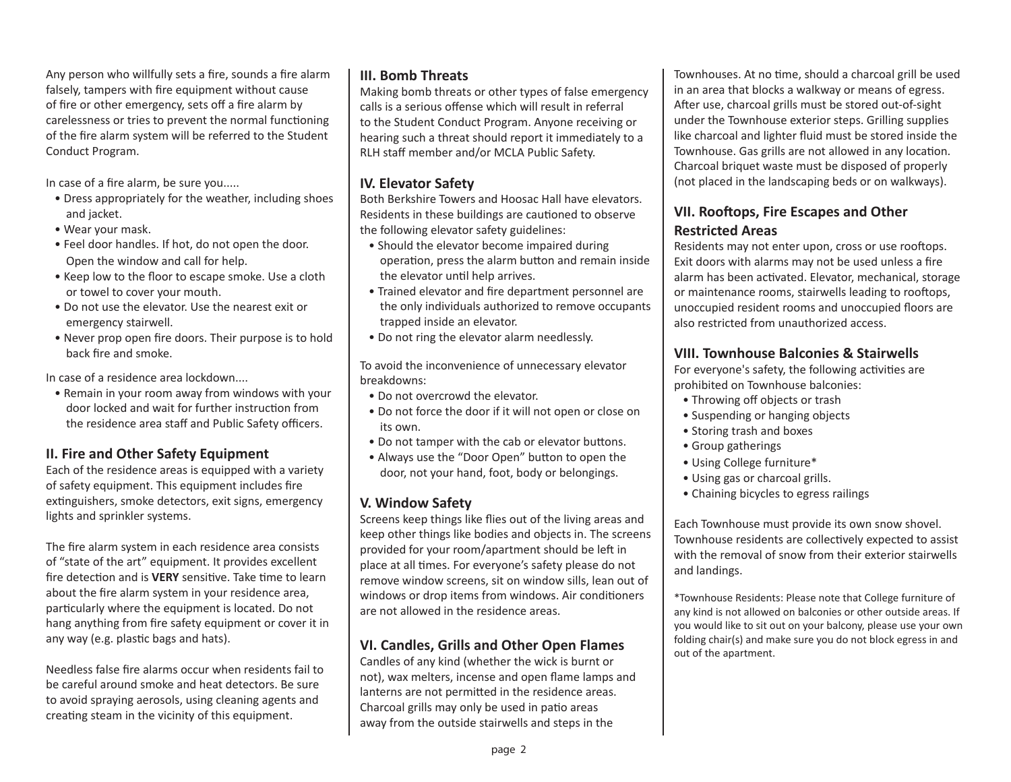Any person who willfully sets a fire, sounds a fire alarm falsely, tampers with fire equipment without cause of fire or other emergency, sets off a fire alarm by carelessness or tries to prevent the normal functioning of the fire alarm system will be referred to the Student Conduct Program.

In case of a fire alarm, be sure you.....

- Dress appropriately for the weather, including shoes and jacket.
- Wear your mask.
- Feel door handles. If hot, do not open the door. Open the window and call for help.
- Keep low to the floor to escape smoke. Use a cloth or towel to cover your mouth.
- Do not use the elevator. Use the nearest exit or emergency stairwell.
- Never prop open fire doors. Their purpose is to hold back fire and smoke.

In case of a residence area lockdown....

• Remain in your room away from windows with your door locked and wait for further instruction from the residence area staff and Public Safety officers.

# **II. Fire and Other Safety Equipment**

Each of the residence areas is equipped with a variety of safety equipment. This equipment includes fire extinguishers, smoke detectors, exit signs, emergency lights and sprinkler systems.

The fire alarm system in each residence area consists of "state of the art" equipment. It provides excellent fire detection and is **VERY** sensitive. Take time to learn about the fire alarm system in your residence area, particularly where the equipment is located. Do not hang anything from fire safety equipment or cover it in any way (e.g. plastic bags and hats).

Needless false fire alarms occur when residents fail to be careful around smoke and heat detectors. Be sure to avoid spraying aerosols, using cleaning agents and creating steam in the vicinity of this equipment.

# **III. Bomb Threats**

Making bomb threats or other types of false emergency calls is a serious offense which will result in referral to the Student Conduct Program. Anyone receiving or hearing such a threat should report it immediately to a RLH staff member and/or MCLA Public Safety.

# **IV. Elevator Safety**

Both Berkshire Towers and Hoosac Hall have elevators. Residents in these buildings are cautioned to observe the following elevator safety guidelines:

- Should the elevator become impaired during operation, press the alarm button and remain inside the elevator until help arrives.
- Trained elevator and fire department personnel are the only individuals authorized to remove occupants trapped inside an elevator.
- Do not ring the elevator alarm needlessly.

To avoid the inconvenience of unnecessary elevator breakdowns:

- Do not overcrowd the elevator.
- Do not force the door if it will not open or close on its own.
- Do not tamper with the cab or elevator buttons.
- Always use the "Door Open" button to open the door, not your hand, foot, body or belongings.

# **V. Window Safety**

Screens keep things like flies out of the living areas and keep other things like bodies and objects in. The screens provided for your room/apartment should be left in place at all times. For everyone's safety please do not remove window screens, sit on window sills, lean out of windows or drop items from windows. Air conditioners are not allowed in the residence areas.

# **VI. Candles, Grills and Other Open Flames**

Candles of any kind (whether the wick is burnt or not), wax melters, incense and open flame lamps and lanterns are not permitted in the residence areas. Charcoal grills may only be used in patio areas away from the outside stairwells and steps in the

Townhouses. At no time, should a charcoal grill be used in an area that blocks a walkway or means of egress. After use, charcoal grills must be stored out-of-sight under the Townhouse exterior steps. Grilling supplies like charcoal and lighter fluid must be stored inside the Townhouse. Gas grills are not allowed in any location. Charcoal briquet waste must be disposed of properly (not placed in the landscaping beds or on walkways).

# **VII. Rooftops, Fire Escapes and Other Restricted Areas**

Residents may not enter upon, cross or use rooftops. Exit doors with alarms may not be used unless a fire alarm has been activated. Elevator, mechanical, storage or maintenance rooms, stairwells leading to rooftops, unoccupied resident rooms and unoccupied floors are also restricted from unauthorized access.

# **VIII. Townhouse Balconies & Stairwells**

For everyone's safety, the following activities are prohibited on Townhouse balconies:

- Throwing off objects or trash
- Suspending or hanging objects
- Storing trash and boxes
- Group gatherings
- Using College furniture\*
- Using gas or charcoal grills.
- Chaining bicycles to egress railings

Each Townhouse must provide its own snow shovel. Townhouse residents are collectively expected to assist with the removal of snow from their exterior stairwells and landings.

\*Townhouse Residents: Please note that College furniture of any kind is not allowed on balconies or other outside areas. If you would like to sit out on your balcony, please use your own folding chair(s) and make sure you do not block egress in and out of the apartment.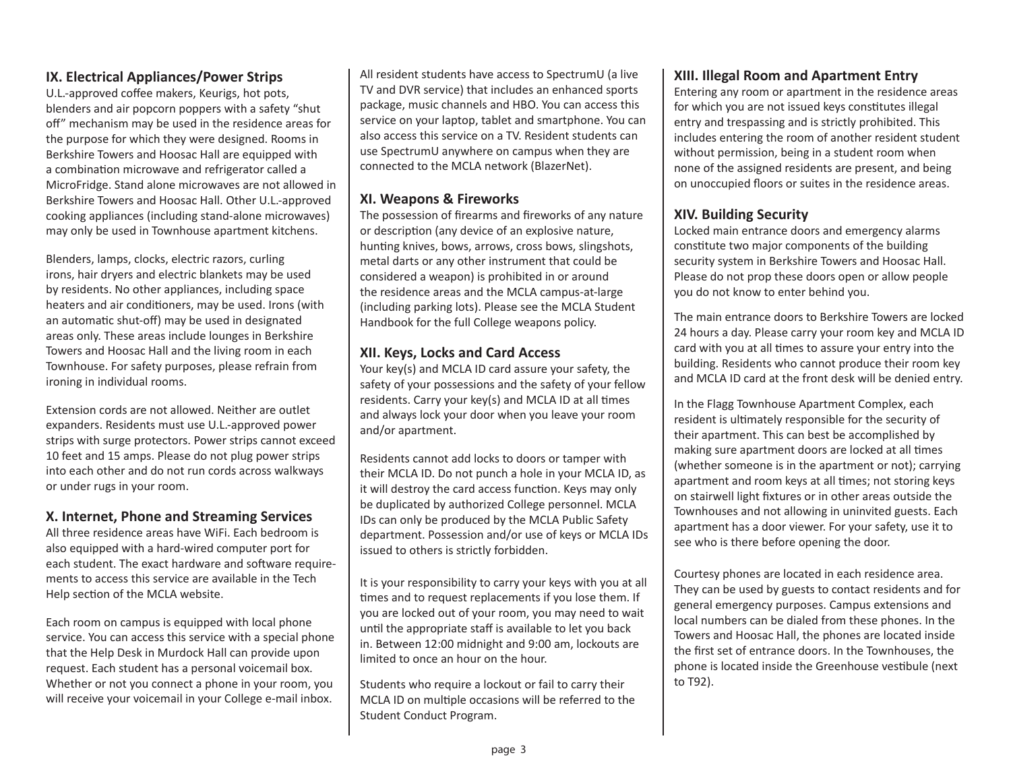# **IX. Electrical Appliances/Power Strips**

U.L.-approved coffee makers, Keurigs, hot pots, blenders and air popcorn poppers with a safety "shut off" mechanism may be used in the residence areas for the purpose for which they were designed. Rooms in Berkshire Towers and Hoosac Hall are equipped with a combination microwave and refrigerator called a MicroFridge. Stand alone microwaves are not allowed in Berkshire Towers and Hoosac Hall. Other U.L.-approved cooking appliances (including stand-alone microwaves) may only be used in Townhouse apartment kitchens.

Blenders, lamps, clocks, electric razors, curling irons, hair dryers and electric blankets may be used by residents. No other appliances, including space heaters and air conditioners, may be used. Irons (with an automatic shut-off) may be used in designated areas only. These areas include lounges in Berkshire Towers and Hoosac Hall and the living room in each Townhouse. For safety purposes, please refrain from ironing in individual rooms.

Extension cords are not allowed. Neither are outlet expanders. Residents must use U.L.-approved power strips with surge protectors. Power strips cannot exceed 10 feet and 15 amps. Please do not plug power strips into each other and do not run cords across walkways or under rugs in your room.

#### **X. Internet, Phone and Streaming Services**

All three residence areas have WiFi. Each bedroom is also equipped with a hard-wired computer port for each student. The exact hardware and software requirements to access this service are available in the Tech Help section of the MCLA website.

Each room on campus is equipped with local phone service. You can access this service with a special phone that the Help Desk in Murdock Hall can provide upon request. Each student has a personal voicemail box. Whether or not you connect a phone in your room, you will receive your voicemail in your College e-mail inbox.

All resident students have access to SpectrumU (a live TV and DVR service) that includes an enhanced sports package, music channels and HBO. You can access this service on your laptop, tablet and smartphone. You can also access this service on a TV. Resident students can use SpectrumU anywhere on campus when they are connected to the MCLA network (BlazerNet).

#### **XI. Weapons & Fireworks**

The possession of firearms and fireworks of any nature or description (any device of an explosive nature, hunting knives, bows, arrows, cross bows, slingshots, metal darts or any other instrument that could be considered a weapon) is prohibited in or around the residence areas and the MCLA campus-at-large (including parking lots). Please see the MCLA Student Handbook for the full College weapons policy.

# **XII. Keys, Locks and Card Access**

Your key(s) and MCLA ID card assure your safety, the safety of your possessions and the safety of your fellow residents. Carry your key(s) and MCLA ID at all times and always lock your door when you leave your room and/or apartment.

Residents cannot add locks to doors or tamper with their MCLA ID. Do not punch a hole in your MCLA ID, as it will destroy the card access function. Keys may only be duplicated by authorized College personnel. MCLA IDs can only be produced by the MCLA Public Safety department. Possession and/or use of keys or MCLA IDs issued to others is strictly forbidden.

It is your responsibility to carry your keys with you at all times and to request replacements if you lose them. If you are locked out of your room, you may need to wait until the appropriate staff is available to let you back in. Between 12:00 midnight and 9:00 am, lockouts are limited to once an hour on the hour.

Students who require a lockout or fail to carry their MCLA ID on multiple occasions will be referred to the Student Conduct Program.

#### **XIII. Illegal Room and Apartment Entry**

Entering any room or apartment in the residence areas for which you are not issued keys constitutes illegal entry and trespassing and is strictly prohibited. This includes entering the room of another resident student without permission, being in a student room when none of the assigned residents are present, and being on unoccupied floors or suites in the residence areas.

# **XIV. Building Security**

Locked main entrance doors and emergency alarms constitute two major components of the building security system in Berkshire Towers and Hoosac Hall. Please do not prop these doors open or allow people you do not know to enter behind you.

The main entrance doors to Berkshire Towers are locked 24 hours a day. Please carry your room key and MCLA ID card with you at all times to assure your entry into the building. Residents who cannot produce their room key and MCLA ID card at the front desk will be denied entry.

In the Flagg Townhouse Apartment Complex, each resident is ultimately responsible for the security of their apartment. This can best be accomplished by making sure apartment doors are locked at all times (whether someone is in the apartment or not); carrying apartment and room keys at all times; not storing keys on stairwell light fixtures or in other areas outside the Townhouses and not allowing in uninvited guests. Each apartment has a door viewer. For your safety, use it to see who is there before opening the door.

Courtesy phones are located in each residence area. They can be used by guests to contact residents and for general emergency purposes. Campus extensions and local numbers can be dialed from these phones. In the Towers and Hoosac Hall, the phones are located inside the first set of entrance doors. In the Townhouses, the phone is located inside the Greenhouse vestibule (next to T92).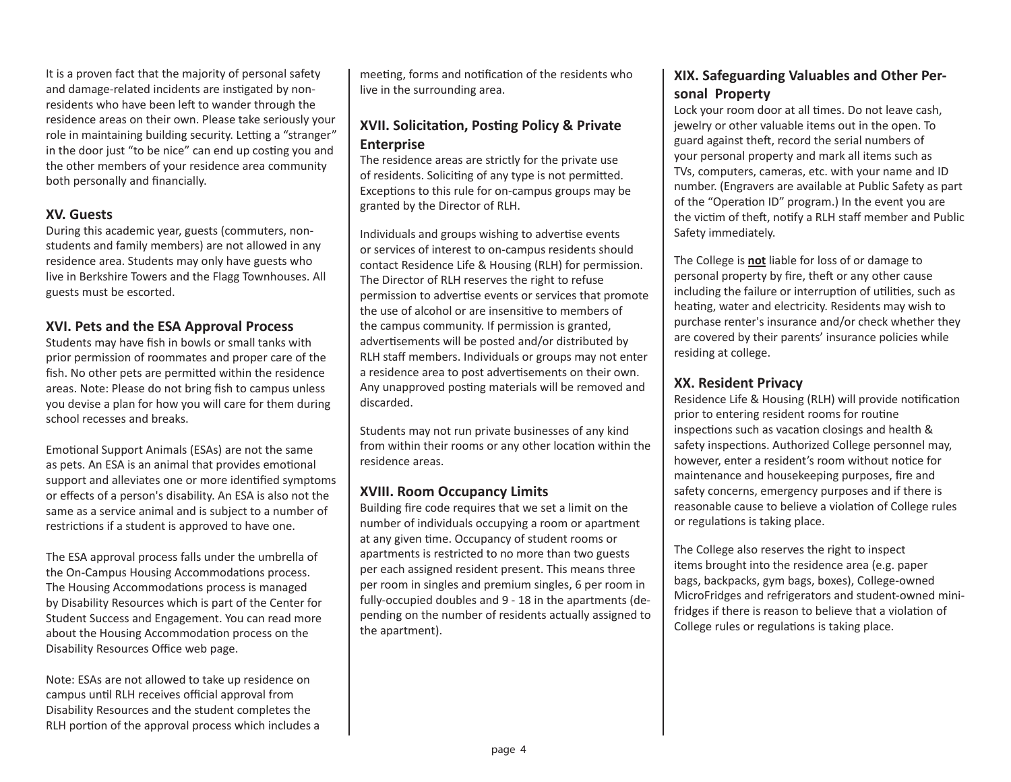It is a proven fact that the majority of personal safety and damage-related incidents are instigated by nonresidents who have been left to wander through the residence areas on their own. Please take seriously your role in maintaining building security. Letting a "stranger" in the door just "to be nice" can end up costing you and the other members of your residence area community both personally and financially.

# **XV. Guests**

During this academic year, guests (commuters, nonstudents and family members) are not allowed in any residence area. Students may only have guests who live in Berkshire Towers and the Flagg Townhouses. All guests must be escorted.

# **XVI. Pets and the ESA Approval Process**

Students may have fish in bowls or small tanks with prior permission of roommates and proper care of the fish. No other pets are permitted within the residence areas. Note: Please do not bring fish to campus unless you devise a plan for how you will care for them during school recesses and breaks.

Emotional Support Animals (ESAs) are not the same as pets. An ESA is an animal that provides emotional support and alleviates one or more identified symptoms or effects of a person's disability. An ESA is also not the same as a service animal and is subject to a number of restrictions if a student is approved to have one.

The ESA approval process falls under the umbrella of the On-Campus Housing Accommodations process. The Housing Accommodations process is managed by Disability Resources which is part of the Center for Student Success and Engagement. You can read more about the Housing Accommodation process on the Disability Resources Office web page.

Note: ESAs are not allowed to take up residence on campus until RLH receives official approval from Disability Resources and the student completes the RLH portion of the approval process which includes a

meeting, forms and notification of the residents who live in the surrounding area.

# **XVII. Solicitation, Posting Policy & Private Enterprise**

The residence areas are strictly for the private use of residents. Soliciting of any type is not permitted. Exceptions to this rule for on-campus groups may be granted by the Director of RLH.

Individuals and groups wishing to advertise events or services of interest to on-campus residents should contact Residence Life & Housing (RLH) for permission. The Director of RLH reserves the right to refuse permission to advertise events or services that promote the use of alcohol or are insensitive to members of the campus community. If permission is granted, advertisements will be posted and/or distributed by RLH staff members. Individuals or groups may not enter a residence area to post advertisements on their own. Any unapproved posting materials will be removed and discarded.

Students may not run private businesses of any kind from within their rooms or any other location within the residence areas.

# **XVIII. Room Occupancy Limits**

Building fire code requires that we set a limit on the number of individuals occupying a room or apartment at any given time. Occupancy of student rooms or apartments is restricted to no more than two guests per each assigned resident present. This means three per room in singles and premium singles, 6 per room in fully-occupied doubles and 9 - 18 in the apartments (depending on the number of residents actually assigned to the apartment).

# **XIX. Safeguarding Valuables and Other Personal Property**

Lock your room door at all times. Do not leave cash, jewelry or other valuable items out in the open. To guard against theft, record the serial numbers of your personal property and mark all items such as TVs, computers, cameras, etc. with your name and ID number. (Engravers are available at Public Safety as part of the "Operation ID" program.) In the event you are the victim of theft, notify a RLH staff member and Public Safety immediately.

The College is **not** liable for loss of or damage to personal property by fire, theft or any other cause including the failure or interruption of utilities, such as heating, water and electricity. Residents may wish to purchase renter's insurance and/or check whether they are covered by their parents' insurance policies while residing at college.

#### **XX. Resident Privacy**

Residence Life & Housing (RLH) will provide notification prior to entering resident rooms for routine inspections such as vacation closings and health & safety inspections. Authorized College personnel may, however, enter a resident's room without notice for maintenance and housekeeping purposes, fire and safety concerns, emergency purposes and if there is reasonable cause to believe a violation of College rules or regulations is taking place.

The College also reserves the right to inspect items brought into the residence area (e.g. paper bags, backpacks, gym bags, boxes), College-owned MicroFridges and refrigerators and student-owned minifridges if there is reason to believe that a violation of College rules or regulations is taking place.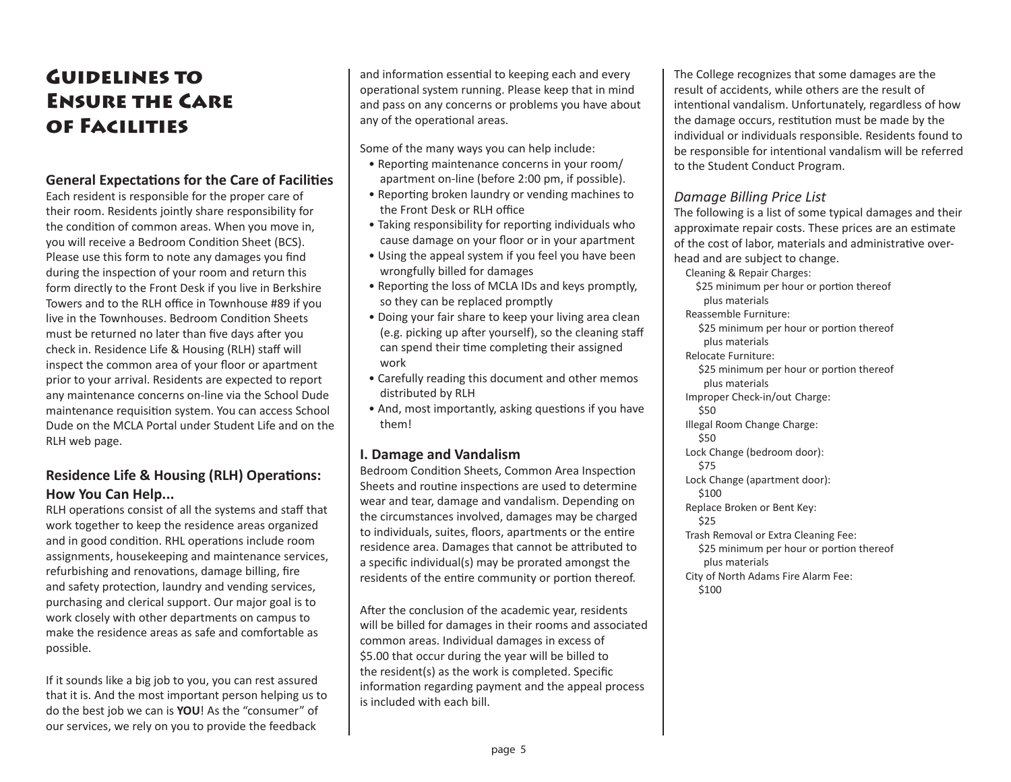# Guidelines to Ensure the Care of Facilities

#### **General Expectations for the Care of Facilities**

Each resident is responsible for the proper care of their room. Residents jointly share responsibility for the condition of common areas. When you move in, you will receive a Bedroom Condition Sheet (BCS). Please use this form to note any damages you find during the inspection of your room and return this form directly to the Front Desk if you live in Berkshire Towers and to the RLH office in Townhouse #89 if you live in the Townhouses. Bedroom Condition Sheets must be returned no later than five days after you check in. Residence Life & Housing (RLH) staff will inspect the common area of your floor or apartment prior to your arrival. Residents are expected to report any maintenance concerns on-line via the School Dude maintenance requisition system. You can access School Dude on the MCLA Portal under Student Life and on the RLH web page.

# **Residence Life & Housing (RLH) Operations: How You Can Help...**

RLH operations consist of all the systems and staff that work together to keep the residence areas organized and in good condition. RHL operations include room assignments, housekeeping and maintenance services, refurbishing and renovations, damage billing, fire and safety protection, laundry and vending services, purchasing and clerical support. Our major goal is to work closely with other departments on campus to make the residence areas as safe and comfortable as possible.

If it sounds like a big job to you, you can rest assured that it is. And the most important person helping us to do the best job we can is **YOU**! As the "consumer" of our services, we rely on you to provide the feedback

and information essential to keeping each and every operational system running. Please keep that in mind and pass on any concerns or problems you have about any of the operational areas.

Some of the many ways you can help include:

- Reporting maintenance concerns in your room/ apartment on-line (before 2:00 pm, if possible).
- Reporting broken laundry or vending machines to the Front Desk or RLH office
- Taking responsibility for reporting individuals who cause damage on your floor or in your apartment
- Using the appeal system if you feel you have been wrongfully billed for damages
- Reporting the loss of MCLA IDs and keys promptly, so they can be replaced promptly
- Doing your fair share to keep your living area clean (e.g. picking up after yourself), so the cleaning staff can spend their time completing their assigned work
- Carefully reading this document and other memos distributed by RLH
- And, most importantly, asking questions if you have them!

#### **I. Damage and Vandalism**

Bedroom Condition Sheets, Common Area Inspection Sheets and routine inspections are used to determine wear and tear, damage and vandalism. Depending on the circumstances involved, damages may be charged to individuals, suites, floors, apartments or the entire residence area. Damages that cannot be attributed to a specific individual(s) may be prorated amongst the residents of the entire community or portion thereof.

After the conclusion of the academic year, residents will be billed for damages in their rooms and associated common areas. Individual damages in excess of \$5.00 that occur during the year will be billed to the resident(s) as the work is completed. Specific information regarding payment and the appeal process is included with each bill.

The College recognizes that some damages are the result of accidents, while others are the result of intentional vandalism. Unfortunately, regardless of how the damage occurs, restitution must be made by the individual or individuals responsible. Residents found to be responsible for intentional vandalism will be referred to the Student Conduct Program.

#### *Damage Billing Price List*

The following is a list of some typical damages and their approximate repair costs. These prices are an estimate of the cost of labor, materials and administrative overhead and are subject to change.

Cleaning & Repair Charges: \$25 minimum per hour or portion thereof plus materials Reassemble Furniture: \$25 minimum per hour or portion thereof plus materials Relocate Furniture: \$25 minimum per hour or portion thereof plus materials Improper Check-in/out Charge: \$50 Illegal Room Change Charge: \$50 Lock Change (bedroom door): \$75 Lock Change (apartment door): \$100 Replace Broken or Bent Key: \$25 Trash Removal or Extra Cleaning Fee: \$25 minimum per hour or portion thereof plus materials City of North Adams Fire Alarm Fee: \$100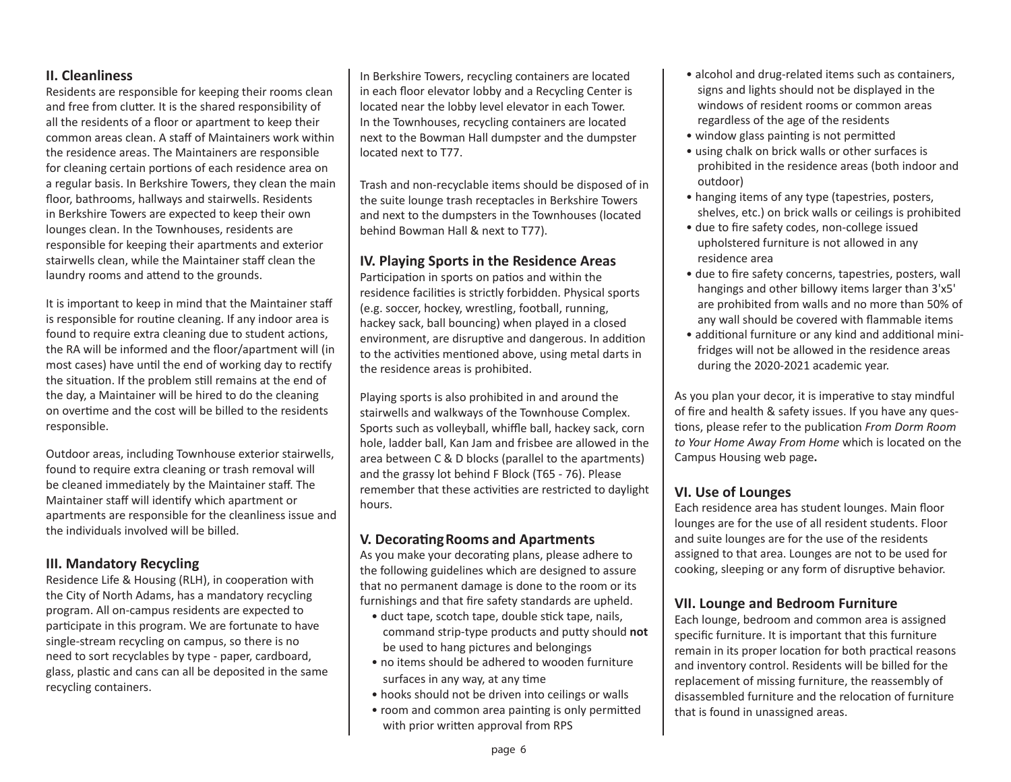#### **II. Cleanliness**

Residents are responsible for keeping their rooms clean and free from clutter. It is the shared responsibility of all the residents of a floor or apartment to keep their common areas clean. A staff of Maintainers work within the residence areas. The Maintainers are responsible for cleaning certain portions of each residence area on a regular basis. In Berkshire Towers, they clean the main floor, bathrooms, hallways and stairwells. Residents in Berkshire Towers are expected to keep their own lounges clean. In the Townhouses, residents are responsible for keeping their apartments and exterior stairwells clean, while the Maintainer staff clean the laundry rooms and attend to the grounds.

It is important to keep in mind that the Maintainer staff is responsible for routine cleaning. If any indoor area is found to require extra cleaning due to student actions, the RA will be informed and the floor/apartment will (in most cases) have until the end of working day to rectify the situation. If the problem still remains at the end of the day, a Maintainer will be hired to do the cleaning on overtime and the cost will be billed to the residents responsible.

Outdoor areas, including Townhouse exterior stairwells, found to require extra cleaning or trash removal will be cleaned immediately by the Maintainer staff. The Maintainer staff will identify which apartment or apartments are responsible for the cleanliness issue and the individuals involved will be billed.

#### **III. Mandatory Recycling**

Residence Life & Housing (RLH), in cooperation with the City of North Adams, has a mandatory recycling program. All on-campus residents are expected to participate in this program. We are fortunate to have single-stream recycling on campus, so there is no need to sort recyclables by type - paper, cardboard, glass, plastic and cans can all be deposited in the same recycling containers.

In Berkshire Towers, recycling containers are located in each floor elevator lobby and a Recycling Center is located near the lobby level elevator in each Tower. In the Townhouses, recycling containers are located next to the Bowman Hall dumpster and the dumpster located next to T77.

Trash and non-recyclable items should be disposed of in the suite lounge trash receptacles in Berkshire Towers and next to the dumpsters in the Townhouses (located behind Bowman Hall & next to T77).

#### **IV. Playing Sports in the Residence Areas**

Participation in sports on patios and within the residence facilities is strictly forbidden. Physical sports (e.g. soccer, hockey, wrestling, football, running, hackey sack, ball bouncing) when played in a closed environment, are disruptive and dangerous. In addition to the activities mentioned above, using metal darts in the residence areas is prohibited.

Playing sports is also prohibited in and around the stairwells and walkways of the Townhouse Complex. Sports such as volleyball, whiffle ball, hackey sack, corn hole, ladder ball, Kan Jam and frisbee are allowed in the area between C & D blocks (parallel to the apartments) and the grassy lot behind F Block (T65 - 76). Please remember that these activities are restricted to daylight hours.

# **V. Decorating Rooms and Apartments**

As you make your decorating plans, please adhere to the following guidelines which are designed to assure that no permanent damage is done to the room or its furnishings and that fire safety standards are upheld.

- duct tape, scotch tape, double stick tape, nails, command strip-type products and putty should **not** be used to hang pictures and belongings
- no items should be adhered to wooden furniture surfaces in any way, at any time
- hooks should not be driven into ceilings or walls
- room and common area painting is only permitted with prior written approval from RPS
- alcohol and drug-related items such as containers, signs and lights should not be displayed in the windows of resident rooms or common areas regardless of the age of the residents
- window glass painting is not permitted
- using chalk on brick walls or other surfaces is prohibited in the residence areas (both indoor and outdoor)
- hanging items of any type (tapestries, posters, shelves, etc.) on brick walls or ceilings is prohibited
- due to fire safety codes, non-college issued upholstered furniture is not allowed in any residence area
- due to fire safety concerns, tapestries, posters, wall hangings and other billowy items larger than 3'x5' are prohibited from walls and no more than 50% of any wall should be covered with flammable items
- additional furniture or any kind and additional minifridges will not be allowed in the residence areas during the 2020-2021 academic year.

As you plan your decor, it is imperative to stay mindful of fire and health & safety issues. If you have any questions, please refer to the publication *From Dorm Room to Your Home Away From Home* which is located on the Campus Housing web page**.**

# **VI. Use of Lounges**

Each residence area has student lounges. Main floor lounges are for the use of all resident students. Floor and suite lounges are for the use of the residents assigned to that area. Lounges are not to be used for cooking, sleeping or any form of disruptive behavior.

#### **VII. Lounge and Bedroom Furniture**

Each lounge, bedroom and common area is assigned specific furniture. It is important that this furniture remain in its proper location for both practical reasons and inventory control. Residents will be billed for the replacement of missing furniture, the reassembly of disassembled furniture and the relocation of furniture that is found in unassigned areas.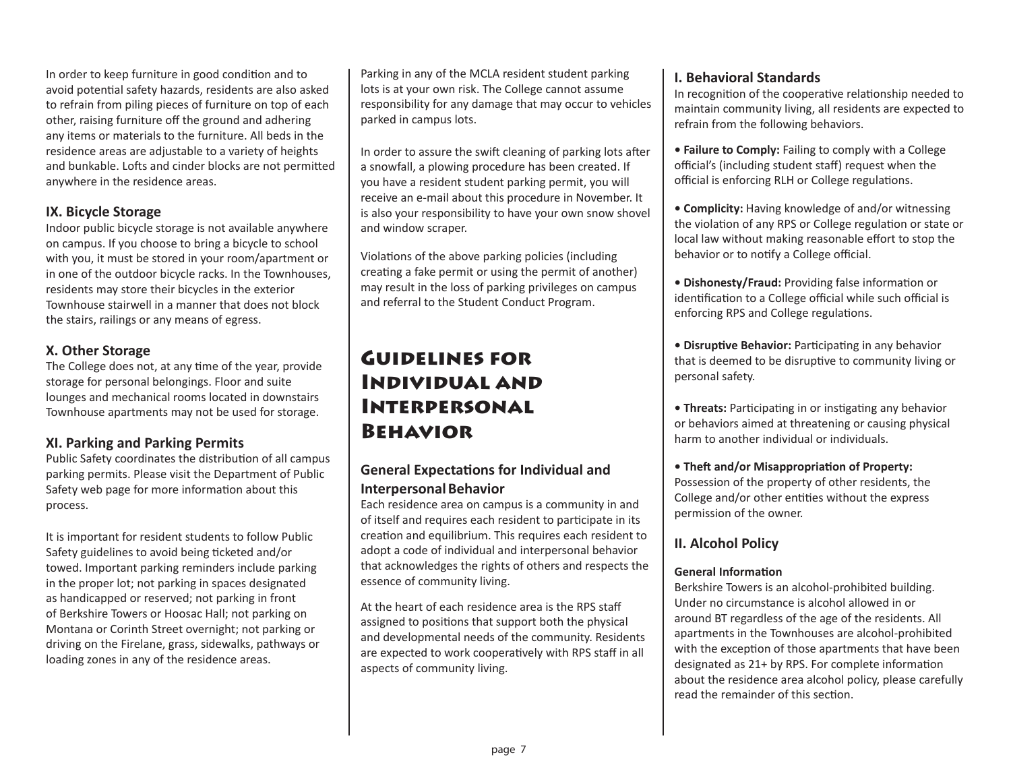In order to keep furniture in good condition and to avoid potential safety hazards, residents are also asked to refrain from piling pieces of furniture on top of each other, raising furniture off the ground and adhering any items or materials to the furniture. All beds in the residence areas are adjustable to a variety of heights and bunkable. Lofts and cinder blocks are not permitted anywhere in the residence areas.

# **IX. Bicycle Storage**

Indoor public bicycle storage is not available anywhere on campus. If you choose to bring a bicycle to school with you, it must be stored in your room/apartment or in one of the outdoor bicycle racks. In the Townhouses, residents may store their bicycles in the exterior Townhouse stairwell in a manner that does not block the stairs, railings or any means of egress.

# **X. Other Storage**

The College does not, at any time of the year, provide storage for personal belongings. Floor and suite lounges and mechanical rooms located in downstairs Townhouse apartments may not be used for storage.

# **XI. Parking and Parking Permits**

Public Safety coordinates the distribution of all campus parking permits. Please visit the Department of Public Safety web page for more information about this process.

It is important for resident students to follow Public Safety guidelines to avoid being ticketed and/or towed. Important parking reminders include parking in the proper lot; not parking in spaces designated as handicapped or reserved; not parking in front of Berkshire Towers or Hoosac Hall; not parking on Montana or Corinth Street overnight; not parking or driving on the Firelane, grass, sidewalks, pathways or loading zones in any of the residence areas.

Parking in any of the MCLA resident student parking lots is at your own risk. The College cannot assume responsibility for any damage that may occur to vehicles parked in campus lots.

In order to assure the swift cleaning of parking lots after a snowfall, a plowing procedure has been created. If you have a resident student parking permit, you will receive an e-mail about this procedure in November. It is also your responsibility to have your own snow shovel and window scraper.

Violations of the above parking policies (including creating a fake permit or using the permit of another) may result in the loss of parking privileges on campus and referral to the Student Conduct Program.

# Guidelines for Individual and Interpersonal Behavior

# **General Expectations for Individual and Interpersonal Behavior**

Each residence area on campus is a community in and of itself and requires each resident to participate in its creation and equilibrium. This requires each resident to adopt a code of individual and interpersonal behavior that acknowledges the rights of others and respects the essence of community living.

At the heart of each residence area is the RPS staff assigned to positions that support both the physical and developmental needs of the community. Residents are expected to work cooperatively with RPS staff in all aspects of community living.

# **I. Behavioral Standards**

In recognition of the cooperative relationship needed to maintain community living, all residents are expected to refrain from the following behaviors.

- **Failure to Comply:** Failing to comply with a College official's (including student staff) request when the official is enforcing RLH or College regulations.
- **Complicity:** Having knowledge of and/or witnessing the violation of any RPS or College regulation or state or local law without making reasonable effort to stop the behavior or to notify a College official.
- **Dishonesty/Fraud:** Providing false information or identification to a College official while such official is enforcing RPS and College regulations.

**• Disruptive Behavior:** Participating in any behavior that is deemed to be disruptive to community living or personal safety.

**• Threats:** Participating in or instigating any behavior or behaviors aimed at threatening or causing physical harm to another individual or individuals.

**• Theft and/or Misappropriation of Property:** Possession of the property of other residents, the College and/or other entities without the express permission of the owner.

# **II. Alcohol Policy**

#### **General Information**

Berkshire Towers is an alcohol-prohibited building. Under no circumstance is alcohol allowed in or around BT regardless of the age of the residents. All apartments in the Townhouses are alcohol-prohibited with the exception of those apartments that have been designated as 21+ by RPS. For complete information about the residence area alcohol policy, please carefully read the remainder of this section.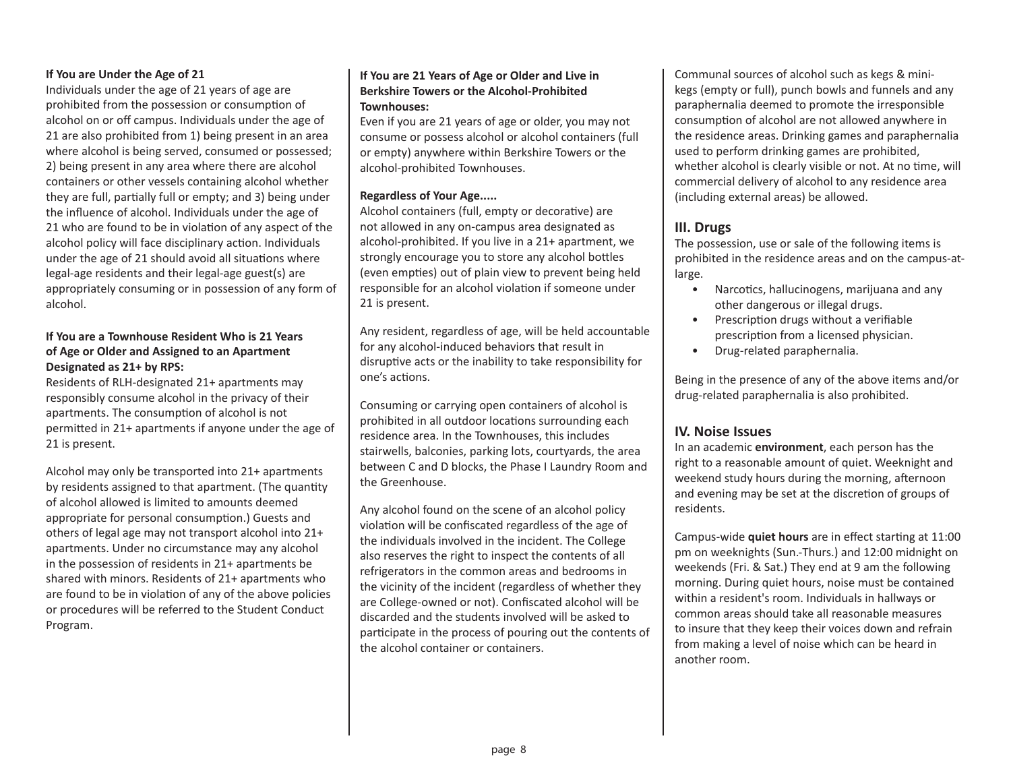#### **If You are Under the Age of 21**

Individuals under the age of 21 years of age are prohibited from the possession or consumption of alcohol on or off campus. Individuals under the age of 21 are also prohibited from 1) being present in an area where alcohol is being served, consumed or possessed; 2) being present in any area where there are alcohol containers or other vessels containing alcohol whether they are full, partially full or empty; and 3) being under the influence of alcohol. Individuals under the age of 21 who are found to be in violation of any aspect of the alcohol policy will face disciplinary action. Individuals under the age of 21 should avoid all situations where legal-age residents and their legal-age guest(s) are appropriately consuming or in possession of any form of alcohol.

#### **If You are a Townhouse Resident Who is 21 Years of Age or Older and Assigned to an Apartment Designated as 21+ by RPS:**

Residents of RLH-designated 21+ apartments may responsibly consume alcohol in the privacy of their apartments. The consumption of alcohol is not permitted in 21+ apartments if anyone under the age of 21 is present.

Alcohol may only be transported into 21+ apartments by residents assigned to that apartment. (The quantity of alcohol allowed is limited to amounts deemed appropriate for personal consumption.) Guests and others of legal age may not transport alcohol into 21+ apartments. Under no circumstance may any alcohol in the possession of residents in 21+ apartments be shared with minors. Residents of 21+ apartments who are found to be in violation of any of the above policies or procedures will be referred to the Student Conduct Program.

#### **If You are 21 Years of Age or Older and Live in Berkshire Towers or the Alcohol-Prohibited Townhouses:**

Even if you are 21 years of age or older, you may not consume or possess alcohol or alcohol containers (full or empty) anywhere within Berkshire Towers or the alcohol-prohibited Townhouses.

#### **Regardless of Your Age.....**

Alcohol containers (full, empty or decorative) are not allowed in any on-campus area designated as alcohol-prohibited. If you live in a 21+ apartment, we strongly encourage you to store any alcohol bottles (even empties) out of plain view to prevent being held responsible for an alcohol violation if someone under 21 is present.

Any resident, regardless of age, will be held accountable for any alcohol-induced behaviors that result in disruptive acts or the inability to take responsibility for one's actions.

Consuming or carrying open containers of alcohol is prohibited in all outdoor locations surrounding each residence area. In the Townhouses, this includes stairwells, balconies, parking lots, courtyards, the area between C and D blocks, the Phase I Laundry Room and the Greenhouse.

Any alcohol found on the scene of an alcohol policy violation will be confiscated regardless of the age of the individuals involved in the incident. The College also reserves the right to inspect the contents of all refrigerators in the common areas and bedrooms in the vicinity of the incident (regardless of whether they are College-owned or not). Confiscated alcohol will be discarded and the students involved will be asked to participate in the process of pouring out the contents of the alcohol container or containers.

Communal sources of alcohol such as kegs & minikegs (empty or full), punch bowls and funnels and any paraphernalia deemed to promote the irresponsible consumption of alcohol are not allowed anywhere in the residence areas. Drinking games and paraphernalia used to perform drinking games are prohibited, whether alcohol is clearly visible or not. At no time, will commercial delivery of alcohol to any residence area (including external areas) be allowed.

#### **III. Drugs**

The possession, use or sale of the following items is prohibited in the residence areas and on the campus-atlarge.

- Narcotics, hallucinogens, marijuana and any other dangerous or illegal drugs.
- Prescription drugs without a verifiable prescription from a licensed physician.
- Drug-related paraphernalia.

Being in the presence of any of the above items and/or drug-related paraphernalia is also prohibited.

#### **IV. Noise Issues**

In an academic **environment**, each person has the right to a reasonable amount of quiet. Weeknight and weekend study hours during the morning, afternoon and evening may be set at the discretion of groups of residents.

Campus-wide **quiet hours** are in effect starting at 11:00 pm on weeknights (Sun.-Thurs.) and 12:00 midnight on weekends (Fri. & Sat.) They end at 9 am the following morning. During quiet hours, noise must be contained within a resident's room. Individuals in hallways or common areas should take all reasonable measures to insure that they keep their voices down and refrain from making a level of noise which can be heard in another room.